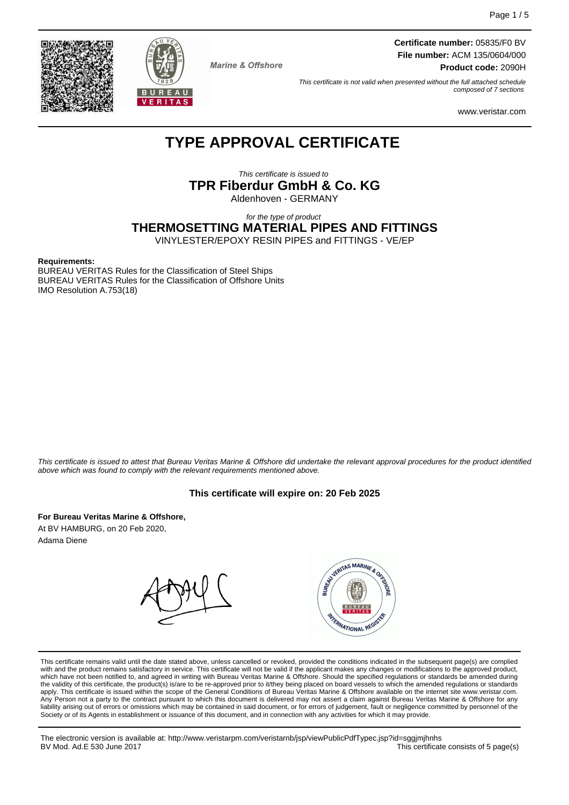



**Marine & Offshore** 

**Certificate number:** 05835/F0 BV **File number:** ACM 135/0604/000 **Product code:** 2090H

This certificate is not valid when presented without the full attached schedule composed of 7 sections

www.veristar.com

# **TYPE APPROVAL CERTIFICATE**

This certificate is issued to **TPR Fiberdur GmbH & Co. KG** Aldenhoven - GERMANY

for the type of product

**THERMOSETTING MATERIAL PIPES AND FITTINGS**

VINYLESTER/EPOXY RESIN PIPES and FITTINGS - VE/EP

#### **Requirements:**

BUREAU VERITAS Rules for the Classification of Steel Ships BUREAU VERITAS Rules for the Classification of Offshore Units IMO Resolution A.753(18)

This certificate is issued to attest that Bureau Veritas Marine & Offshore did undertake the relevant approval procedures for the product identified above which was found to comply with the relevant requirements mentioned above.

#### **This certificate will expire on: 20 Feb 2025**

**For Bureau Veritas Marine & Offshore,** At BV HAMBURG, on 20 Feb 2020, Adama Diene



This certificate remains valid until the date stated above, unless cancelled or revoked, provided the conditions indicated in the subsequent page(s) are complied with and the product remains satisfactory in service. This certificate will not be valid if the applicant makes any changes or modifications to the approved product, which have not been notified to, and agreed in writing with Bureau Veritas Marine & Offshore. Should the specified regulations or standards be amended during<br>the validity of this certificate, the product(s) is/are to be re apply. This certificate is issued within the scope of the General Conditions of Bureau Veritas Marine & Offshore available on the internet site www.veristar.com. Any Person not a party to the contract pursuant to which this document is delivered may not assert a claim against Bureau Veritas Marine & Offshore for any liability arising out of errors or omissions which may be contained in said document, or for errors of judgement, fault or negligence committed by personnel of the<br>Society or of its Agents in establishment or issuance of t

The electronic version is available at: http://www.veristarpm.com/veristarnb/jsp/viewPublicPdfTypec.jsp?id=sggjmjhnhs This certificate consists of 5 page(s)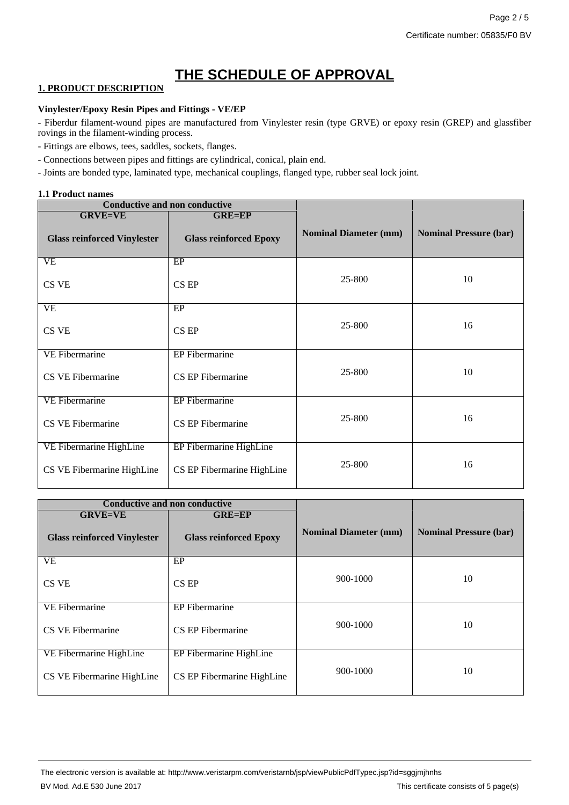# **THE SCHEDULE OF APPROVAL**

# **1. PRODUCT DESCRIPTION**

## **Vinylester/Epoxy Resin Pipes and Fittings - VE/EP**

- Fiberdur filament-wound pipes are manufactured from Vinylester resin (type GRVE) or epoxy resin (GREP) and glassfiber rovings in the filament-winding process.

- Fittings are elbows, tees, saddles, sockets, flanges.
- Connections between pipes and fittings are cylindrical, conical, plain end.
- Joints are bonded type, laminated type, mechanical couplings, flanged type, rubber seal lock joint.

### **1.1 Product names**

| <b>Conductive and non conductive</b> |                               |                              |                               |  |
|--------------------------------------|-------------------------------|------------------------------|-------------------------------|--|
| <b>GRVE=VE</b>                       | <b>GRE=EP</b>                 |                              | <b>Nominal Pressure (bar)</b> |  |
| <b>Glass reinforced Vinylester</b>   | <b>Glass reinforced Epoxy</b> | <b>Nominal Diameter (mm)</b> |                               |  |
| <b>VE</b>                            | EP                            |                              |                               |  |
| CS VE                                | CS EP                         | 25-800                       | 10                            |  |
| VE                                   | EP                            |                              |                               |  |
| CS VE                                | CS EP                         | 25-800                       | 16                            |  |
| <b>VE Fibermarine</b>                | EP Fibermarine                |                              |                               |  |
| CS VE Fibermarine                    | CS EP Fibermarine             | 25-800                       | 10                            |  |
| <b>VE Fibermarine</b>                | EP Fibermarine                |                              |                               |  |
| CS VE Fibermarine                    | CS EP Fibermarine             | 25-800                       | 16                            |  |
| VE Fibermarine HighLine              | EP Fibermarine HighLine       |                              |                               |  |
| CS VE Fibermarine HighLine           | CS EP Fibermarine HighLine    | 25-800                       | 16                            |  |

| <b>Conductive and non conductive</b> |                               |                              |                               |
|--------------------------------------|-------------------------------|------------------------------|-------------------------------|
| <b>GRVE=VE</b>                       | <b>GRE=EP</b>                 |                              |                               |
| <b>Glass reinforced Vinylester</b>   | <b>Glass reinforced Epoxy</b> | <b>Nominal Diameter (mm)</b> | <b>Nominal Pressure (bar)</b> |
| <b>VE</b>                            | EP                            |                              |                               |
| CS VE                                | CS EP                         | 900-1000                     | 10                            |
| VE Fibermarine                       | EP Fibermarine                |                              |                               |
| CS VE Fibermarine                    | CS EP Fibermarine             | 900-1000                     | 10                            |
| VE Fibermarine HighLine              | EP Fibermarine HighLine       |                              |                               |
| CS VE Fibermarine HighLine           | CS EP Fibermarine HighLine    | 900-1000                     | 10                            |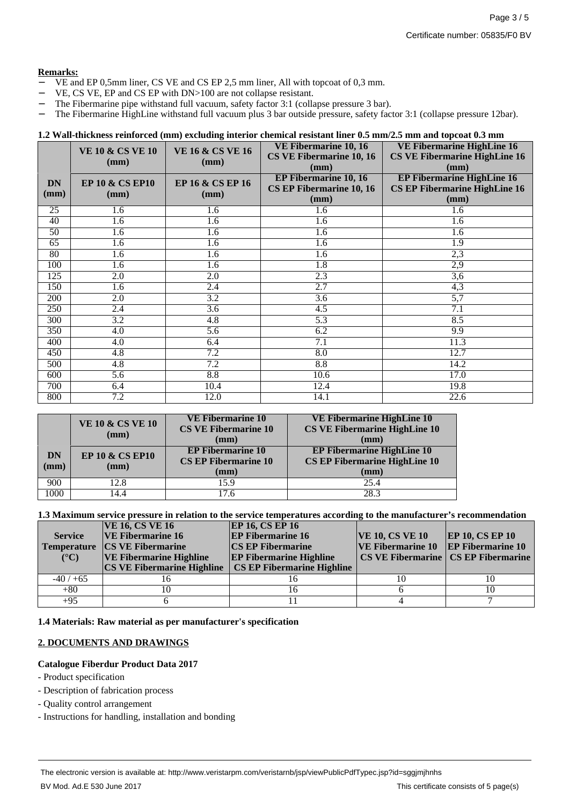## **Remarks:**

- − VE and EP 0,5mm liner, CS VE and CS EP 2,5 mm liner, All with topcoat of 0,3 mm.
- VE, CS VE, EP and CS EP with DN>100 are not collapse resistant.
- − The Fibermarine pipe withstand full vacuum, safety factor 3:1 (collapse pressure 3 bar).
- − The Fibermarine HighLine withstand full vacuum plus 3 bar outside pressure, safety factor 3:1 (collapse pressure 12bar).

#### **1.2 Wall-thickness reinforced (mm) excluding interior chemical resistant liner 0.5 mm/2.5 mm and topcoat 0.3 mm**

|                   | <b>VE 10 &amp; CS VE 10</b>        | <b>VE 16 &amp; CS VE 16</b> | VE Fibermarine 10, 16<br>CS VE Fibermarine 10, 16                | VE Fibermarine HighLine 16<br><b>CS VE Fibermarine HighLine 16</b>                |  |
|-------------------|------------------------------------|-----------------------------|------------------------------------------------------------------|-----------------------------------------------------------------------------------|--|
|                   | (mm)                               | (mm)                        | (mm)                                                             | (mm)                                                                              |  |
| <b>DN</b><br>(mm) | <b>EP 10 &amp; CS EP10</b><br>(mm) | EP 16 & CS EP 16<br>(mm)    | <b>EP Fibermarine 10, 16</b><br>CS EP Fibermarine 10, 16<br>(mm) | <b>EP Fibermarine HighLine 16</b><br><b>CS EP Fibermarine HighLine 16</b><br>(mm) |  |
| 25                | 1.6                                | 1.6                         | 1.6                                                              | 1.6                                                                               |  |
| 40                | $\overline{1.6}$                   | 1.6                         | $\overline{1.6}$                                                 | $\overline{1.6}$                                                                  |  |
| 50                | 1.6                                | 1.6                         | 1.6                                                              | 1.6                                                                               |  |
| $\overline{65}$   | 1.6                                | 1.6                         | 1.6                                                              | 1.9                                                                               |  |
| 80                | 1.6                                | 1.6                         | 1.6                                                              | 2,3                                                                               |  |
| 100               | 1.6                                | 1.6                         | 1.8                                                              | 2,9                                                                               |  |
| 125               | $\overline{2.0}$                   | $\overline{2.0}$            | 2.3                                                              | $\overline{3,6}$                                                                  |  |
| 150               | 1.6                                | 2.4                         | 2.7                                                              | 4,3                                                                               |  |
| 200               | 2.0                                | 3.2                         | 3.6                                                              | 5,7                                                                               |  |
| 250               | 2.4                                | 3.6                         | 4.5                                                              | 7.1                                                                               |  |
| 300               | $\overline{3.2}$                   | $\overline{4.8}$            | $\overline{5.3}$                                                 | 8.5                                                                               |  |
| 350               | 4.0                                | 5.6                         | 6.2                                                              | 9.9                                                                               |  |
| 400               | 4.0                                | 6.4                         | 7.1                                                              | 11.3                                                                              |  |
| 450               | $\overline{4.8}$                   | 7.2                         | $\overline{8.0}$                                                 | 12.7                                                                              |  |
| 500               | 4.8                                | 7.2                         | 8.8                                                              | 14.2                                                                              |  |
| 600               | 5.6                                | 8.8                         | 10.6                                                             | 17.0                                                                              |  |
| 700               | 6.4                                | 10.4                        | 12.4                                                             | 19.8                                                                              |  |
| 800               | 7.2                                | 12.0                        | 14.1                                                             | 22.6                                                                              |  |

|                              | <b>VE 10 &amp; CS VE 10</b><br>$(\mathbf{mm})$ | <b>VE Fibermarine 10</b><br><b>CS VE Fibermarine 10</b><br>(mm)            | <b>VE Fibermarine HighLine 10</b><br><b>CS VE Fibermarine HighLine 10</b><br>(mm)            |
|------------------------------|------------------------------------------------|----------------------------------------------------------------------------|----------------------------------------------------------------------------------------------|
| <b>DN</b><br>$(\mathbf{mm})$ | <b>EP 10 &amp; CS EP10</b><br>(mm)             | <b>EP Fibermarine 10</b><br><b>CS EP Fibermarine 10</b><br>$(\mathbf{mm})$ | <b>EP Fibermarine HighLine 10</b><br><b>CS EP Fibermarine HighLine 10</b><br>$(\mathbf{mm})$ |
| 900                          | 12.8                                           | 15.9                                                                       | 25.4                                                                                         |
| 1000                         | 14.4                                           | 7.6                                                                        | 28.3                                                                                         |

**1.3 Maximum service pressure in relation to the service temperatures according to the manufacturer's recommendation**

| <b>Service</b><br><b>Temperature</b><br>$({}^{\circ}C)$ | <b>VE 16, CS VE 16</b><br><b>VE Fibermarine 16</b><br><b>CS VE Fibermarine</b><br><b>VE Fibermarine Highline</b><br><b>CS VE Fibermarine Highline</b> | <b>EP 16, CS EP 16</b><br><b>EP Fibermarine 16</b><br><b>CS EP Fibermarine</b><br><b>EP Fibermarine Highline</b><br><b>CS EP Fibermarine Highline</b> | <b>VE 10, CS VE 10</b><br><b>VE Fibermarine 10</b> EP Fibermarine 10 | <b>EP 10, CS EP 10</b><br>CS VE Fibermarine   CS EP Fibermarine |
|---------------------------------------------------------|-------------------------------------------------------------------------------------------------------------------------------------------------------|-------------------------------------------------------------------------------------------------------------------------------------------------------|----------------------------------------------------------------------|-----------------------------------------------------------------|
| $-40/+65$                                               |                                                                                                                                                       |                                                                                                                                                       |                                                                      |                                                                 |
| $+80$                                                   |                                                                                                                                                       |                                                                                                                                                       |                                                                      |                                                                 |
| $+95$                                                   |                                                                                                                                                       |                                                                                                                                                       |                                                                      |                                                                 |

**1.4 Materials: Raw material as per manufacturer's specification**

## **2. DOCUMENTS AND DRAWINGS**

#### **Catalogue Fiberdur Product Data 2017**

- Product specification
- Description of fabrication process
- Quality control arrangement
- Instructions for handling, installation and bonding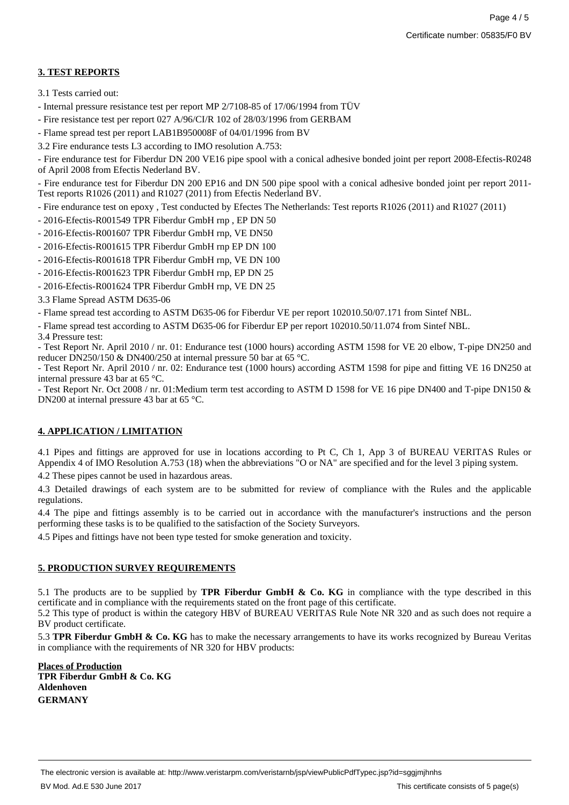# **3. TEST REPORTS**

- 3.1 Tests carried out:
- Internal pressure resistance test per report MP 2/7108-85 of 17/06/1994 from TÜV
- Fire resistance test per report 027 A/96/CI/R 102 of 28/03/1996 from GERBAM
- Flame spread test per report LAB1B950008F of 04/01/1996 from BV
- 3.2 Fire endurance tests L3 according to IMO resolution A.753:

- Fire endurance test for Fiberdur DN 200 VE16 pipe spool with a conical adhesive bonded joint per report 2008-Efectis-R0248 of April 2008 from Efectis Nederland BV.

- Fire endurance test for Fiberdur DN 200 EP16 and DN 500 pipe spool with a conical adhesive bonded joint per report 2011- Test reports R1026 (2011) and R1027 (2011) from Efectis Nederland BV.

- Fire endurance test on epoxy , Test conducted by Efectes The Netherlands: Test reports R1026 (2011) and R1027 (2011)
- 2016-Efectis-R001549 TPR Fiberdur GmbH rnp , EP DN 50
- 2016-Efectis-R001607 TPR Fiberdur GmbH rnp, VE DN50
- 2016-Efectis-R001615 TPR Fiberdur GmbH rnp EP DN 100
- 2016-Efectis-R001618 TPR Fiberdur GmbH rnp, VE DN 100
- 2016-Efectis-R001623 TPR Fiberdur GmbH rnp, EP DN 25
- 2016-Efectis-R001624 TPR Fiberdur GmbH rnp, VE DN 25
- 3.3 Flame Spread ASTM D635-06

- Flame spread test according to ASTM D635-06 for Fiberdur VE per report 102010.50/07.171 from Sintef NBL.

- Flame spread test according to ASTM D635-06 for Fiberdur EP per report 102010.50/11.074 from Sintef NBL.

3.4 Pressure test:

- Test Report Nr. April 2010 / nr. 01: Endurance test (1000 hours) according ASTM 1598 for VE 20 elbow, T-pipe DN250 and reducer DN250/150 & DN400/250 at internal pressure 50 bar at 65 °C.

- Test Report Nr. April 2010 / nr. 02: Endurance test (1000 hours) according ASTM 1598 for pipe and fitting VE 16 DN250 at internal pressure 43 bar at 65 °C.

- Test Report Nr. Oct 2008 / nr. 01: Medium term test according to ASTM D 1598 for VE 16 pipe DN400 and T-pipe DN150 & DN200 at internal pressure 43 bar at 65 °C.

## **4. APPLICATION / LIMITATION**

4.1 Pipes and fittings are approved for use in locations according to Pt C, Ch 1, App 3 of BUREAU VERITAS Rules or Appendix 4 of IMO Resolution A.753 (18) when the abbreviations "O or NA" are specified and for the level 3 piping system.

4.2 These pipes cannot be used in hazardous areas.

4.3 Detailed drawings of each system are to be submitted for review of compliance with the Rules and the applicable regulations.

4.4 The pipe and fittings assembly is to be carried out in accordance with the manufacturer's instructions and the person performing these tasks is to be qualified to the satisfaction of the Society Surveyors.

4.5 Pipes and fittings have not been type tested for smoke generation and toxicity.

## **5. PRODUCTION SURVEY REQUIREMENTS**

5.1 The products are to be supplied by **TPR Fiberdur GmbH & Co. KG** in compliance with the type described in this certificate and in compliance with the requirements stated on the front page of this certificate.

5.2 This type of product is within the category HBV of BUREAU VERITAS Rule Note NR 320 and as such does not require a BV product certificate.

5.3 **TPR Fiberdur GmbH & Co. KG** has to make the necessary arrangements to have its works recognized by Bureau Veritas in compliance with the requirements of NR 320 for HBV products:

**Places of Production TPR Fiberdur GmbH & Co. KG Aldenhoven GERMANY**